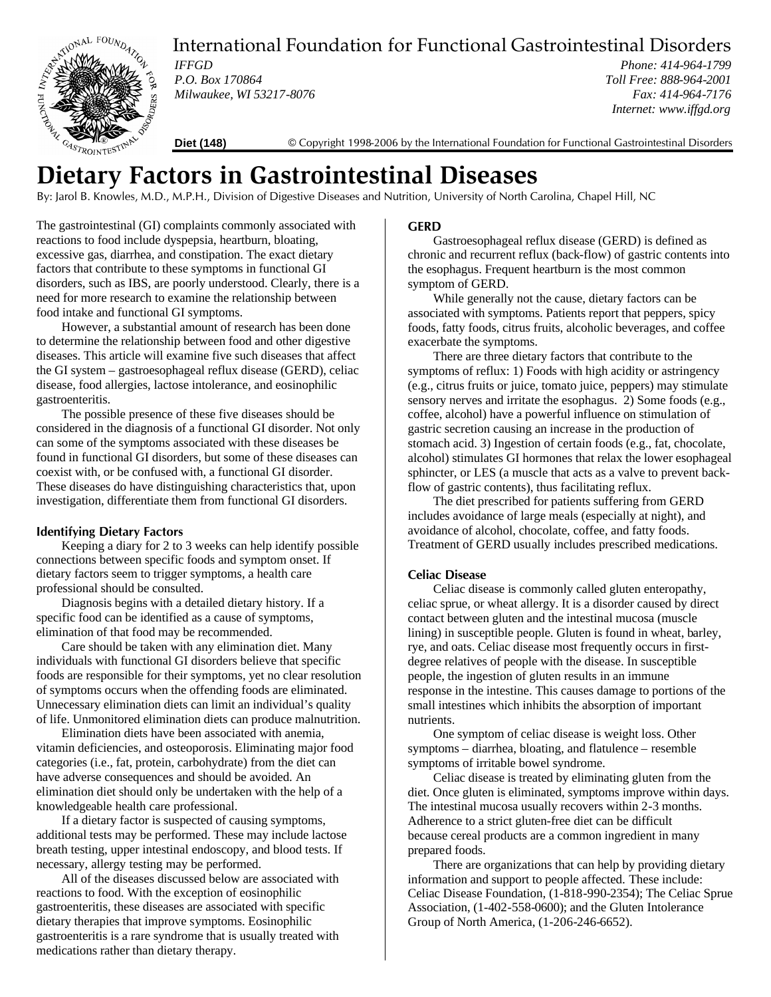

# International Foundation for Functional Gastrointestinal Disorders

*IFFGD P.O. Box 170864 Milwaukee, WI 53217-8076*

*Phone: 414-964-1799 Toll Free: 888-964-2001 Fax: 414-964-7176 Internet: www.iffgd.org*

**Diet (148)** © Copyright 1998-2006 by the International Foundation for Functional Gastrointestinal Disorders

# $\sum_{\frac{1}{2}} \sum_{\frac{1}{2} \leq \frac{1}{2} \leq \frac{1}{2} \leq \frac{1}{2} \leq \frac{1}{2} \leq \frac{1}{2} \leq \frac{1}{2} \leq \frac{1}{2} \leq \frac{1}{2} \leq \frac{1}{2} \leq \frac{1}{2} \leq \frac{1}{2} \leq \frac{1}{2} \leq \frac{1}{2} \leq \frac{1}{2} \leq \frac{1}{2} \leq \frac{1}{2} \leq \frac{1}{2} \leq \frac{1}{2} \leq \frac{1}{2} \leq \frac{1}{2}$

By: Jarol B. Knowles, M.D., M.P.H., Division of Digestive Diseases and Nutrition, University of North Carolina, Chapel Hill, NC

The gastrointestinal (GI) complaints commonly associated with reactions to food include dyspepsia, heartburn, bloating, excessive gas, diarrhea, and constipation. The exact dietary factors that contribute to these symptoms in functional GI disorders, such as IBS, are poorly understood. Clearly, there is a need for more research to examine the relationship between food intake and functional GI symptoms.

However, a substantial amount of research has been done to determine the relationship between food and other digestive diseases. This article will examine five such diseases that affect the GI system – gastroesophageal reflux disease (GERD), celiac disease, food allergies, lactose intolerance, and eosinophilic gastroenteritis.

The possible presence of these five diseases should be considered in the diagnosis of a functional GI disorder. Not only can some of the symptoms associated with these diseases be found in functional GI disorders, but some of these diseases can coexist with, or be confused with, a functional GI disorder. These diseases do have distinguishing characteristics that, upon investigation, differentiate them from functional GI disorders.

### **Identifying Dietary Factors**

Keeping a diary for 2 to 3 weeks can help identify possible connections between specific foods and symptom onset. If dietary factors seem to trigger symptoms, a health care professional should be consulted.

Diagnosis begins with a detailed dietary history. If a specific food can be identified as a cause of symptoms, elimination of that food may be recommended.

Care should be taken with any elimination diet. Many individuals with functional GI disorders believe that specific foods are responsible for their symptoms, yet no clear resolution of symptoms occurs when the offending foods are eliminated. Unnecessary elimination diets can limit an individual's quality of life. Unmonitored elimination diets can produce malnutrition.

Elimination diets have been associated with anemia, vitamin deficiencies, and osteoporosis. Eliminating major food categories (i.e., fat, protein, carbohydrate) from the diet can have adverse consequences and should be avoided. An elimination diet should only be undertaken with the help of a knowledgeable health care professional.

If a dietary factor is suspected of causing symptoms, additional tests may be performed. These may include lactose breath testing, upper intestinal endoscopy, and blood tests. If necessary, allergy testing may be performed.

All of the diseases discussed below are associated with reactions to food. With the exception of eosinophilic gastroenteritis, these diseases are associated with specific dietary therapies that improve symptoms. Eosinophilic gastroenteritis is a rare syndrome that is usually treated with medications rather than dietary therapy.

### **GERD**

Gastroesophageal reflux disease (GERD) is defined as chronic and recurrent reflux (back-flow) of gastric contents into the esophagus. Frequent heartburn is the most common symptom of GERD.

While generally not the cause, dietary factors can be associated with symptoms. Patients report that peppers, spicy foods, fatty foods, citrus fruits, alcoholic beverages, and coffee exacerbate the symptoms.

There are three dietary factors that contribute to the symptoms of reflux: 1) Foods with high acidity or astringency (e.g., citrus fruits or juice, tomato juice, peppers) may stimulate sensory nerves and irritate the esophagus. 2) Some foods (e.g., coffee, alcohol) have a powerful influence on stimulation of gastric secretion causing an increase in the production of stomach acid. 3) Ingestion of certain foods (e.g., fat, chocolate, alcohol) stimulates GI hormones that relax the lower esophageal sphincter, or LES (a muscle that acts as a valve to prevent backflow of gastric contents), thus facilitating reflux.

The diet prescribed for patients suffering from GERD includes avoidance of large meals (especially at night), and avoidance of alcohol, chocolate, coffee, and fatty foods. Treatment of GERD usually includes prescribed medications.

### **Celiac Disease**

Celiac disease is commonly called gluten enteropathy, celiac sprue, or wheat allergy. It is a disorder caused by direct contact between gluten and the intestinal mucosa (muscle lining) in susceptible people. Gluten is found in wheat, barley, rye, and oats. Celiac disease most frequently occurs in firstdegree relatives of people with the disease. In susceptible people, the ingestion of gluten results in an immune response in the intestine. This causes damage to portions of the small intestines which inhibits the absorption of important nutrients.

One symptom of celiac disease is weight loss. Other symptoms – diarrhea, bloating, and flatulence – resemble symptoms of irritable bowel syndrome.

Celiac disease is treated by eliminating gluten from the diet. Once gluten is eliminated, symptoms improve within days. The intestinal mucosa usually recovers within 2-3 months. Adherence to a strict gluten-free diet can be difficult because cereal products are a common ingredient in many prepared foods.

There are organizations that can help by providing dietary information and support to people affected. These include: Celiac Disease Foundation, (1-818-990-2354); The Celiac Sprue Association, (1-402-558-0600); and the Gluten Intolerance Group of North America, (1-206-246-6652).